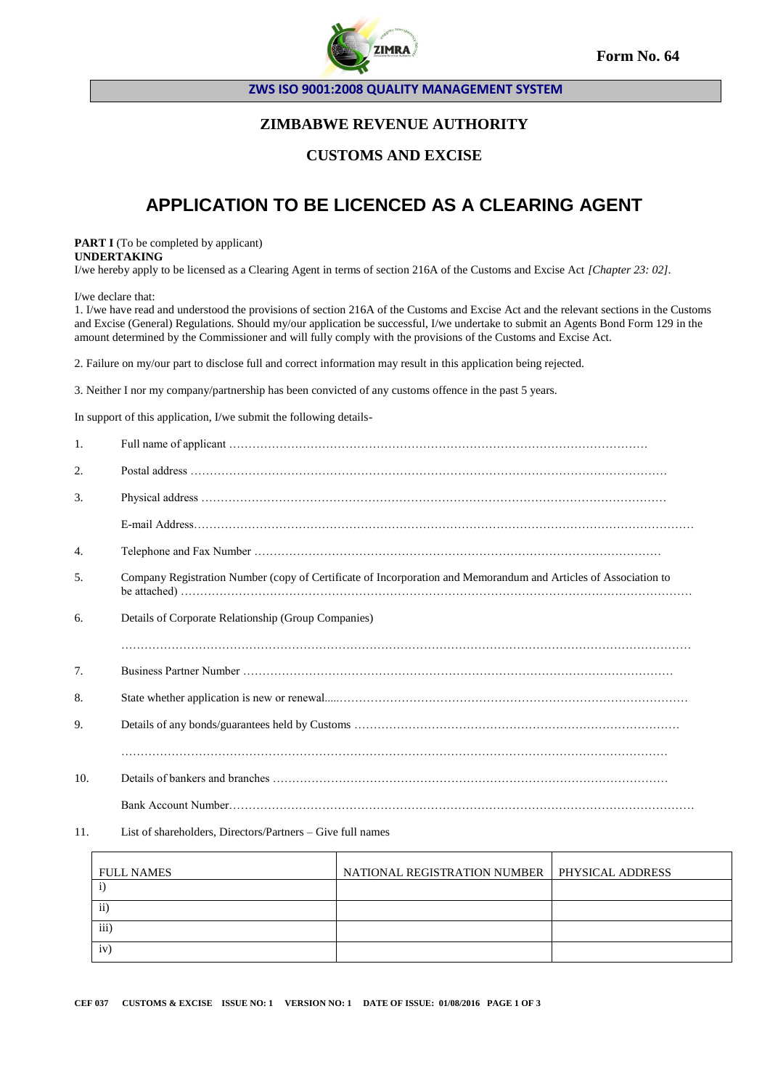

**Form No. 64**

**ZWS ISO 9001:2008 QUALITY MANAGEMENT SYSTEM**

## **ZIMBABWE REVENUE AUTHORITY**

#### **CUSTOMS AND EXCISE**

# **APPLICATION TO BE LICENCED AS A CLEARING AGENT**

**PART I** (To be completed by applicant) **UNDERTAKING**

I/we hereby apply to be licensed as a Clearing Agent in terms of section 216A of the Customs and Excise Act *[Chapter 23: 02].*

I/we declare that:

 $\mathbf{r}$ 

1. I/we have read and understood the provisions of section 216A of the Customs and Excise Act and the relevant sections in the Customs and Excise (General) Regulations. Should my/our application be successful, I/we undertake to submit an Agents Bond Form 129 in the amount determined by the Commissioner and will fully comply with the provisions of the Customs and Excise Act.

2. Failure on my/our part to disclose full and correct information may result in this application being rejected.

3. Neither I nor my company/partnership has been convicted of any customs offence in the past 5 years.

In support of this application, I/we submit the following details-

| $\mathbf{1}$ . |                                                                                                                 |
|----------------|-----------------------------------------------------------------------------------------------------------------|
| 2.             |                                                                                                                 |
| 3.             |                                                                                                                 |
|                |                                                                                                                 |
| 4.             |                                                                                                                 |
| .5.            | Company Registration Number (copy of Certificate of Incorporation and Memorandum and Articles of Association to |
| 6.             | Details of Corporate Relationship (Group Companies)                                                             |
|                |                                                                                                                 |
| 7.             |                                                                                                                 |
| 8.             |                                                                                                                 |
| 9.             |                                                                                                                 |
|                |                                                                                                                 |
| 10.            |                                                                                                                 |
|                |                                                                                                                 |

11. List of shareholders, Directors/Partners – Give full names

| <b>FULL NAMES</b> | NATIONAL REGISTRATION NUMBER   PHYSICAL ADDRESS |  |
|-------------------|-------------------------------------------------|--|
|                   |                                                 |  |
| $\overline{11}$   |                                                 |  |
| $\overline{111}$  |                                                 |  |
| iv                |                                                 |  |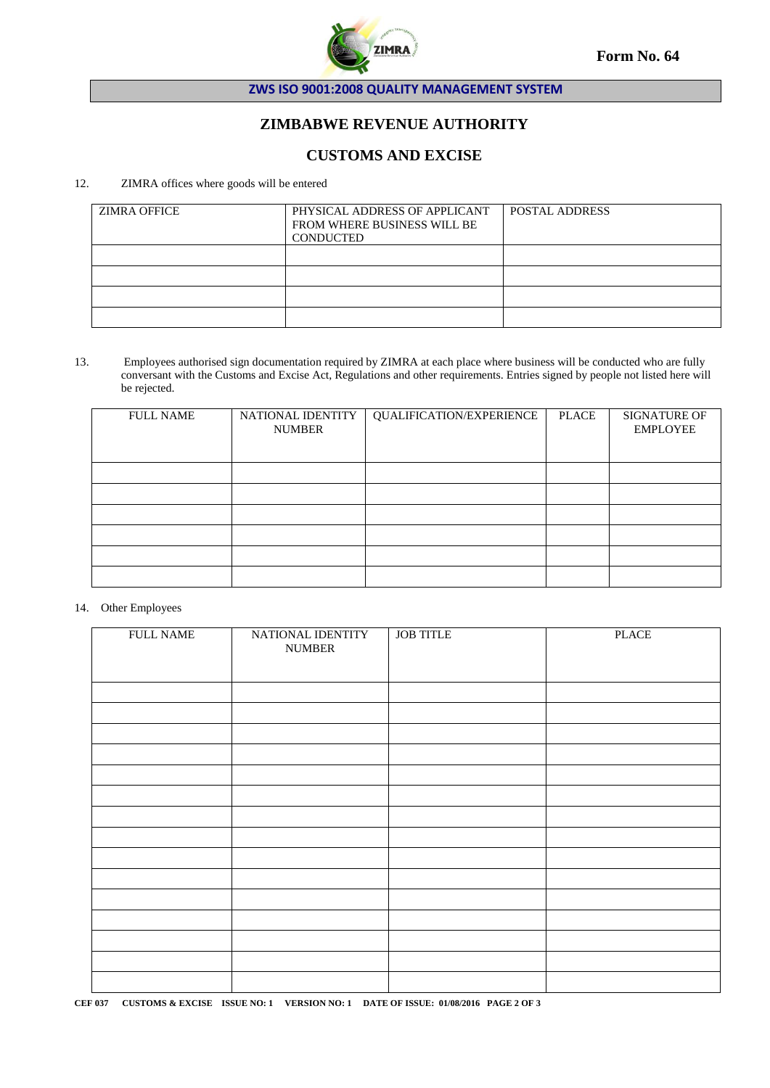

**ZWS ISO 9001:2008 QUALITY MANAGEMENT SYSTEM**

## **ZIMBABWE REVENUE AUTHORITY**

#### **CUSTOMS AND EXCISE**

#### 12. ZIMRA offices where goods will be entered

| <b>ZIMRA OFFICE</b> | PHYSICAL ADDRESS OF APPLICANT<br>FROM WHERE BUSINESS WILL BE<br>CONDUCTED | <b>POSTAL ADDRESS</b> |
|---------------------|---------------------------------------------------------------------------|-----------------------|
|                     |                                                                           |                       |
|                     |                                                                           |                       |
|                     |                                                                           |                       |
|                     |                                                                           |                       |

13. Employees authorised sign documentation required by ZIMRA at each place where business will be conducted who are fully conversant with the Customs and Excise Act, Regulations and other requirements. Entries signed by people not listed here will be rejected.

| <b>FULL NAME</b> | NATIONAL IDENTITY<br><b>NUMBER</b> | QUALIFICATION/EXPERIENCE | <b>PLACE</b> | <b>SIGNATURE OF</b><br><b>EMPLOYEE</b> |
|------------------|------------------------------------|--------------------------|--------------|----------------------------------------|
|                  |                                    |                          |              |                                        |
|                  |                                    |                          |              |                                        |
|                  |                                    |                          |              |                                        |
|                  |                                    |                          |              |                                        |
|                  |                                    |                          |              |                                        |
|                  |                                    |                          |              |                                        |

#### 14. Other Employees

| <b>FULL NAME</b> | NATIONAL IDENTITY<br><b>NUMBER</b> | <b>JOB TITLE</b> | <b>PLACE</b> |
|------------------|------------------------------------|------------------|--------------|
|                  |                                    |                  |              |
|                  |                                    |                  |              |
|                  |                                    |                  |              |
|                  |                                    |                  |              |
|                  |                                    |                  |              |
|                  |                                    |                  |              |
|                  |                                    |                  |              |
|                  |                                    |                  |              |
|                  |                                    |                  |              |
|                  |                                    |                  |              |
|                  |                                    |                  |              |
|                  |                                    |                  |              |
|                  |                                    |                  |              |
|                  |                                    |                  |              |
|                  |                                    |                  |              |